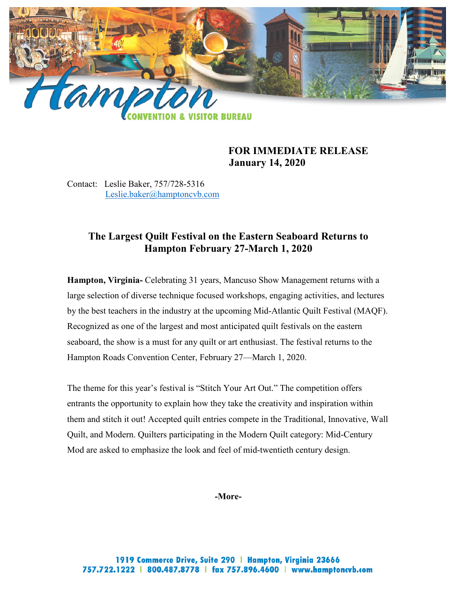

## **FOR IMMEDIATE RELEASE January 14, 2020**

Contact: Leslie Baker, 757/728-5316 [Leslie.baker@hamptoncvb.com](mailto:leslie.baker@hamptoncvb.com)

# **The Largest Quilt Festival on the Eastern Seaboard Returns to Hampton February 27-March 1, 2020**

**Hampton, Virginia-** Celebrating 31 years, Mancuso Show Management returns with a large selection of diverse technique focused workshops, engaging activities, and lectures by the best teachers in the industry at the upcoming Mid-Atlantic Quilt Festival (MAQF). Recognized as one of the largest and most anticipated quilt festivals on the eastern seaboard, the show is a must for any quilt or art enthusiast. The festival returns to the Hampton Roads Convention Center, February 27—March 1, 2020.

The theme for this year's festival is "Stitch Your Art Out." The competition offers entrants the opportunity to explain how they take the creativity and inspiration within them and stitch it out! Accepted quilt entries compete in the Traditional, Innovative, Wall Quilt, and Modern. Quilters participating in the Modern Quilt category: Mid-Century Mod are asked to emphasize the look and feel of mid-twentieth century design.

**-More-**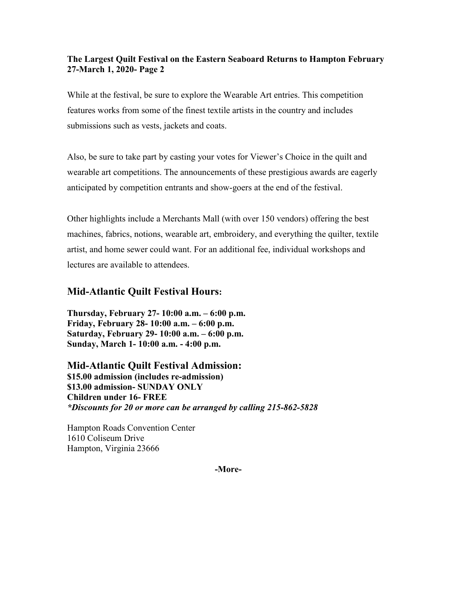#### **The Largest Quilt Festival on the Eastern Seaboard Returns to Hampton February 27-March 1, 2020- Page 2**

While at the festival, be sure to explore the Wearable Art entries. This competition features works from some of the finest textile artists in the country and includes submissions such as vests, jackets and coats.

Also, be sure to take part by casting your votes for Viewer's Choice in the quilt and wearable art competitions. The announcements of these prestigious awards are eagerly anticipated by competition entrants and show-goers at the end of the festival.

Other highlights include a Merchants Mall (with over 150 vendors) offering the best machines, fabrics, notions, wearable art, embroidery, and everything the quilter, textile artist, and home sewer could want. For an additional fee, individual workshops and lectures are available to attendees.

## **Mid-Atlantic Quilt Festival Hours:**

**Thursday, February 27- 10:00 a.m. – 6:00 p.m. Friday, February 28- 10:00 a.m. – 6:00 p.m. Saturday, February 29- 10:00 a.m. – 6:00 p.m. Sunday, March 1- 10:00 a.m. - 4:00 p.m.**

**Mid-Atlantic Quilt Festival Admission: \$15.00 admission (includes re-admission) \$13.00 admission- SUNDAY ONLY Children under 16- FREE** *\*Discounts for 20 or more can be arranged by calling 215-862-5828*

Hampton Roads Convention Center 1610 Coliseum Drive Hampton, Virginia 23666

**-More-**